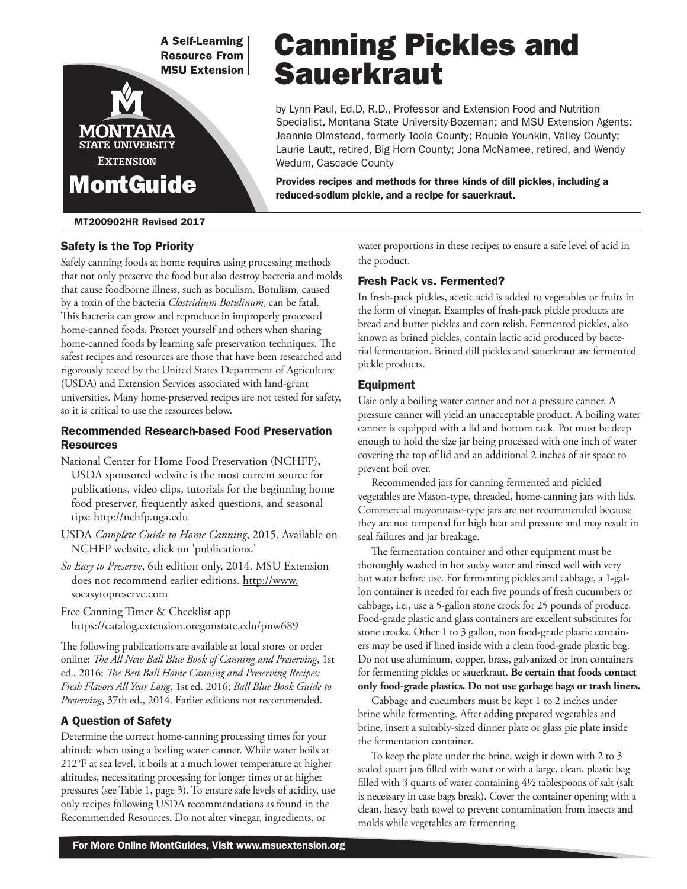**A Self-Learning Resource From MSU Extension** 

# Canning Pickles and **Sauerkraut**

by Lynn Paul, Ed.D, R.D., Professor and Extension Food and Nutrition Specialist, Montana State University-Bozeman; and MSU Extension Agents: Jeannie Olmstead, formerly Toole County; Roubie Younkin, Valley County; Laurie Lautt, retired, Big Horn County; Jona McNamee, retired, and Wendy Wedum, Cascade County

Provides recipes and methods for three kinds of dill pickles, including a reduced-sodium pickle, and a recipe for sauerkraut.

#### MT200902HR Revised 2017

MontGuide

STATE UNIVERSITY **EXTENSION** 

MON

#### Safety is the Top Priority

Safely canning foods at home requires using processing methods that not only preserve the food but also destroy bacteria and molds that cause foodborne illness, such as botulism. Botulism, caused by a toxin of the bacteria *Clostridium Botulinum*, can be fatal. This bacteria can grow and reproduce in improperly processed home-canned foods. Protect yourself and others when sharing home-canned foods by learning safe preservation techniques. The safest recipes and resources are those that have been researched and rigorously tested by the United States Department of Agriculture (USDA) and Extension Services associated with land-grant universities. Many home-preserved recipes are not tested for safety, so it is critical to use the resources below.

#### Recommended Research-based Food Preservation Resources

- National Center for Home Food Preservation (NCHFP), USDA sponsored website is the most current source for publications, video clips, tutorials for the beginning home food preserver, frequently asked questions, and seasonal tips: http://nchfp.uga.edu
- USDA *Complete Guide to Home Canning*, 2015. Available on NCHFP website, click on 'publications.'
- *So Easy to Preserve*, 6th edition only, 2014. MSU Extension does not recommend earlier editions. http://www. soeasytopreserve.com

Free Canning Timer & Checklist app https://catalog.extension.oregonstate.edu/pnw689

The following publications are available at local stores or order online: *The All New Ball Blue Book of Canning and Preserving*, 1st ed., 2016; *The Best Ball Home Canning and Preserving Recipes: Fresh Flavors All Year Long*, 1st ed. 2016; *Ball Blue Book Guide to Preserving*, 37th ed., 2014. Earlier editions not recommended.

#### A Question of Safety

Determine the correct home-canning processing times for your altitude when using a boiling water canner. While water boils at 212°F at sea level, it boils at a much lower temperature at higher altitudes, necessitating processing for longer times or at higher pressures (see Table 1, page 3). To ensure safe levels of acidity, use only recipes following USDA recommendations as found in the Recommended Resources. Do not alter vinegar, ingredients, or

water proportions in these recipes to ensure a safe level of acid in the product.

#### Fresh Pack vs. Fermented?

In fresh-pack pickles, acetic acid is added to vegetables or fruits in the form of vinegar. Examples of fresh-pack pickle products are bread and butter pickles and corn relish. Fermented pickles, also known as brined pickles, contain lactic acid produced by bacterial fermentation. Brined dill pickles and sauerkraut are fermented pickle products.

#### Equipment

Usie only a boiling water canner and not a pressure canner. A pressure canner will yield an unacceptable product. A boiling water canner is equipped with a lid and bottom rack. Pot must be deep enough to hold the size jar being processed with one inch of water covering the top of lid and an additional 2 inches of air space to prevent boil over.

Recommended jars for canning fermented and pickled vegetables are Mason-type, threaded, home-canning jars with lids. Commercial mayonnaise-type jars are not recommended because they are not tempered for high heat and pressure and may result in seal failures and jar breakage.

The fermentation container and other equipment must be thoroughly washed in hot sudsy water and rinsed well with very hot water before use. For fermenting pickles and cabbage, a 1-gallon container is needed for each five pounds of fresh cucumbers or cabbage, i.e., use a 5-gallon stone crock for 25 pounds of produce. Food-grade plastic and glass containers are excellent substitutes for stone crocks. Other 1 to 3 gallon, non food-grade plastic containers may be used if lined inside with a clean food-grade plastic bag. Do not use aluminum, copper, brass, galvanized or iron containers for fermenting pickles or sauerkraut. **Be certain that foods contact only food-grade plastics. Do not use garbage bags or trash liners.**

Cabbage and cucumbers must be kept 1 to 2 inches under brine while fermenting. After adding prepared vegetables and brine, insert a suitably-sized dinner plate or glass pie plate inside the fermentation container.

To keep the plate under the brine, weigh it down with 2 to 3 sealed quart jars filled with water or with a large, clean, plastic bag filled with 3 quarts of water containing 4½ tablespoons of salt (salt is necessary in case bags break). Cover the container opening with a clean, heavy bath towel to prevent contamination from insects and molds while vegetables are fermenting.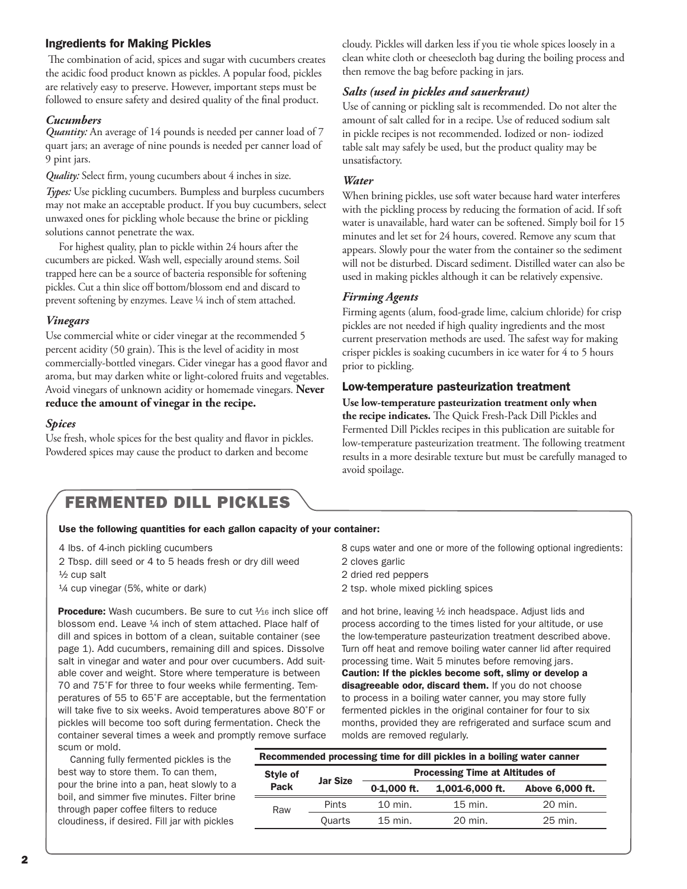#### Ingredients for Making Pickles

 The combination of acid, spices and sugar with cucumbers creates the acidic food product known as pickles. A popular food, pickles are relatively easy to preserve. However, important steps must be followed to ensure safety and desired quality of the final product.

#### *Cucumbers*

*Quantity:* An average of 14 pounds is needed per canner load of 7 quart jars; an average of nine pounds is needed per canner load of 9 pint jars.

*Quality:* Select firm, young cucumbers about 4 inches in size.

*Types:* Use pickling cucumbers. Bumpless and burpless cucumbers may not make an acceptable product. If you buy cucumbers, select unwaxed ones for pickling whole because the brine or pickling solutions cannot penetrate the wax.

For highest quality, plan to pickle within 24 hours after the cucumbers are picked. Wash well, especially around stems. Soil trapped here can be a source of bacteria responsible for softening pickles. Cut a thin slice off bottom/blossom end and discard to prevent softening by enzymes. Leave ¼ inch of stem attached.

#### *Vinegars*

Use commercial white or cider vinegar at the recommended 5 percent acidity (50 grain). This is the level of acidity in most commercially-bottled vinegars. Cider vinegar has a good flavor and aroma, but may darken white or light-colored fruits and vegetables. Avoid vinegars of unknown acidity or homemade vinegars. **Never reduce the amount of vinegar in the recipe.**

#### *Spices*

Use fresh, whole spices for the best quality and flavor in pickles. Powdered spices may cause the product to darken and become

cloudy. Pickles will darken less if you tie whole spices loosely in a clean white cloth or cheesecloth bag during the boiling process and then remove the bag before packing in jars.

#### *Salts (used in pickles and sauerkraut)*

Use of canning or pickling salt is recommended. Do not alter the amount of salt called for in a recipe. Use of reduced sodium salt in pickle recipes is not recommended. Iodized or non- iodized table salt may safely be used, but the product quality may be unsatisfactory.

#### *Water*

When brining pickles, use soft water because hard water interferes with the pickling process by reducing the formation of acid. If soft water is unavailable, hard water can be softened. Simply boil for 15 minutes and let set for 24 hours, covered. Remove any scum that appears. Slowly pour the water from the container so the sediment will not be disturbed. Discard sediment. Distilled water can also be used in making pickles although it can be relatively expensive.

#### *Firming Agents*

Firming agents (alum, food-grade lime, calcium chloride) for crisp pickles are not needed if high quality ingredients and the most current preservation methods are used. The safest way for making crisper pickles is soaking cucumbers in ice water for 4 to 5 hours prior to pickling.

#### Low-temperature pasteurization treatment

**Use low-temperature pasteurization treatment only when the recipe indicates.** The Quick Fresh-Pack Dill Pickles and Fermented Dill Pickles recipes in this publication are suitable for low-temperature pasteurization treatment. The following treatment results in a more desirable texture but must be carefully managed to avoid spoilage.

### FERMENTED DILL PICKLES

#### Use the following quantities for each gallon capacity of your container:

2 Tbsp. dill seed or 4 to 5 heads fresh or dry dill weed 2 cloves garlic ½ cup salt 2 dried red peppers

**Procedure:** Wash cucumbers. Be sure to cut  $\frac{1}{16}$  inch slice off blossom end. Leave 1/4 inch of stem attached. Place half of dill and spices in bottom of a clean, suitable container (see page 1). Add cucumbers, remaining dill and spices. Dissolve salt in vinegar and water and pour over cucumbers. Add suitable cover and weight. Store where temperature is between 70 and 75˚F for three to four weeks while fermenting. Temperatures of 55 to 65˚F are acceptable, but the fermentation will take five to six weeks. Avoid temperatures above 80˚F or pickles will become too soft during fermentation. Check the container several times a week and promptly remove surface scum or mold.

 Canning fully fermented pickles is the best way to store them. To can them, pour the brine into a pan, heat slowly to a boil, and simmer five minutes. Filter brine through paper coffee filters to reduce cloudiness, if desired. Fill jar with pickles

4 lbs. of 4-inch pickling cucumbers 8 cups water and one or more of the following optional ingredients:

- 
- 
- ¼ cup vinegar (5%, white or dark) 2 tsp. whole mixed pickling spices

and hot brine, leaving ½ inch headspace. Adjust lids and process according to the times listed for your altitude, or use the low-temperature pasteurization treatment described above. Turn off heat and remove boiling water canner lid after required processing time. Wait 5 minutes before removing jars.

Caution: If the pickles become soft, slimy or develop a disagreeable odor, discard them. If you do not choose to process in a boiling water canner, you may store fully fermented pickles in the original container for four to six months, provided they are refrigerated and surface scum and molds are removed regularly.

| Recommended processing time for dill pickles in a boiling water canner |                 |                                        |                 |                 |  |  |
|------------------------------------------------------------------------|-----------------|----------------------------------------|-----------------|-----------------|--|--|
| Style of<br>Pack                                                       | <b>Jar Size</b> | <b>Processing Time at Altitudes of</b> |                 |                 |  |  |
|                                                                        |                 | $0-1.000$ ft.                          | 1,001-6,000 ft. | Above 6,000 ft. |  |  |
| Raw                                                                    | Pints           | $10$ min.                              | $15$ min.       | 20 min.         |  |  |
|                                                                        | Quarts          | $15$ min.                              | $20$ min.       | 25 min.         |  |  |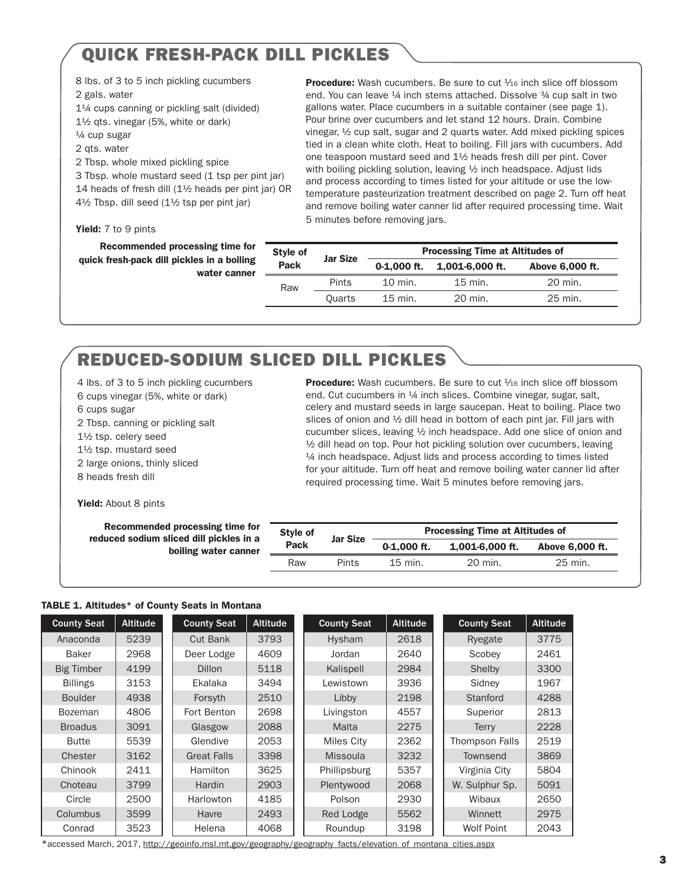# QUICK FRESH-PACK DILL PICKLES

8 lbs. of 3 to 5 inch pickling cucumbers 2 gals. water

1¼ cups canning or pickling salt (divided)

1½ qts. vinegar (5%, white or dark)

¼ cup sugar

2 qts. water

2 Tbsp. whole mixed pickling spice 3 Tbsp. whole mustard seed (1 tsp per pint jar) 14 heads of fresh dill (1½ heads per pint jar) OR

4½ Tbsp. dill seed (1½ tsp per pint jar)

Yield: 7 to 9 pints

Recommended processing time for quick fresh-pack dill pickles in a boiling water canner

end. You can leave <sup>1</sup>/4 inch stems attached. Dissolve <sup>3</sup>/4 cup salt in two gallons water. Place cucumbers in a suitable container (see page 1). Pour brine over cucumbers and let stand 12 hours. Drain. Combine vinegar, ½ cup salt, sugar and 2 quarts water. Add mixed pickling spices tied in a clean white cloth. Heat to boiling. Fill jars with cucumbers. Add one teaspoon mustard seed and 1½ heads fresh dill per pint. Cover with boiling pickling solution, leaving 1/2 inch headspace. Adjust lids and process according to times listed for your altitude or use the lowtemperature pasteurization treatment described on page 2. Turn off heat and remove boiling water canner lid after required processing time. Wait 5 minutes before removing jars.

**Procedure:** Wash cucumbers. Be sure to cut  $\frac{1}{16}$  inch slice off blossom

| Style of | <b>Jar Size</b> | <b>Processing Time at Altitudes of</b> |                     |                 |  |  |
|----------|-----------------|----------------------------------------|---------------------|-----------------|--|--|
| Pack     |                 | $0-1.000$ ft.                          | $1.001 - 6.000$ ft. | Above 6,000 ft. |  |  |
| Raw      | Pints           | 10 min.                                | $15$ min.           | 20 min.         |  |  |
|          | <b>Ouarts</b>   | $15$ min.                              | 20 min.             | 25 min.         |  |  |

# REDUCED-SODIUM SLICED DILL PICKLES

4 lbs. of 3 to 5 inch pickling cucumbers 6 cups vinegar (5%, white or dark) 6 cups sugar 2 Tbsp. canning or pickling salt 1½ tsp. celery seed 1½ tsp. mustard seed 2 large onions, thinly sliced 8 heads fresh dill

**Procedure:** Wash cucumbers. Be sure to cut  $\frac{1}{16}$  inch slice off blossom end. Cut cucumbers in <sup>1</sup>/4 inch slices. Combine vinegar, sugar, salt, celery and mustard seeds in large saucepan. Heat to boiling. Place two slices of onion and ½ dill head in bottom of each pint jar. Fill jars with cucumber slices, leaving ½ inch headspace. Add one slice of onion and <sup>1/2</sup> dill head on top. Pour hot pickling solution over cucumbers, leaving ¼ inch headspace. Adjust lids and process according to times listed for your altitude. Turn off heat and remove boiling water canner lid after required processing time. Wait 5 minutes before removing jars.

Yield: About 8 pints

| Recommended processing time for<br>reduced sodium sliced dill pickles in a | Style of    | <b>Jar Size</b> | <b>Processing Time at Altitudes of</b> |                 |                 |  |
|----------------------------------------------------------------------------|-------------|-----------------|----------------------------------------|-----------------|-----------------|--|
| boiling water canner                                                       | <b>Pack</b> |                 | $0-1.000$ ft.                          | 1.001-6.000 ft. | Above 6,000 ft. |  |
|                                                                            | Raw         | Pints           | 15 min.                                | 20 min.         | 25 min.         |  |

#### TABLE 1. Altitudes\* of County Seats in Montana

| <b>County Seat</b> | <b>Altitude</b> | <b>County Seat</b> | <b>Altitude</b> | <b>County Seat</b> | <b>Altitude</b> | <b>County Seat</b> | <b>Altitude</b> |
|--------------------|-----------------|--------------------|-----------------|--------------------|-----------------|--------------------|-----------------|
| Anaconda           | 5239            | Cut Bank           | 3793            | Hysham             | 2618            | Ryegate            | 3775            |
| <b>Baker</b>       | 2968            | Deer Lodge         | 4609            | Jordan             | 2640            | Scobey             | 2461            |
| <b>Big Timber</b>  | 4199            | <b>Dillon</b>      | 5118            | Kalispell          | 2984            | Shelby             | 3300            |
| <b>Billings</b>    | 3153            | Ekalaka            | 3494            | Lewistown          | 3936            | Sidney             | 1967            |
| <b>Boulder</b>     | 4938            | Forsyth            | 2510            | Libby              | 2198            | Stanford           | 4288            |
| <b>Bozeman</b>     | 4806            | Fort Benton        | 2698            | Livingston         | 4557            | Superior           | 2813            |
| <b>Broadus</b>     | 3091            | Glasgow            | 2088            | Malta              | 2275            | <b>Terry</b>       | 2228            |
| <b>Butte</b>       | 5539            | Glendive           | 2053            | Miles City         | 2362            | Thompson Falls     | 2519            |
| Chester            | 3162            | <b>Great Falls</b> | 3398            | <b>Missoula</b>    | 3232            | Townsend           | 3869            |
| Chinook            | 2411            | <b>Hamilton</b>    | 3625            | Phillipsburg       | 5357            | Virginia City      | 5804            |
| Choteau            | 3799            | Hardin             | 2903            | Plentywood         | 2068            | W. Sulphur Sp.     | 5091            |
| Circle             | 2500            | Harlowton          | 4185            | Polson             | 2930            | Wibaux             | 2650            |
| Columbus           | 3599            | Havre              | 2493            | Red Lodge          | 5562            | Winnett            | 2975            |
| Conrad             | 3523            | Helena             | 4068            | Roundup            | 3198            | <b>Wolf Point</b>  | 2043            |

\*accessed March, 2017, http://geoinfo.msl.mt.gov/geography/geography\_facts/elevation\_of\_montana\_cities.aspx